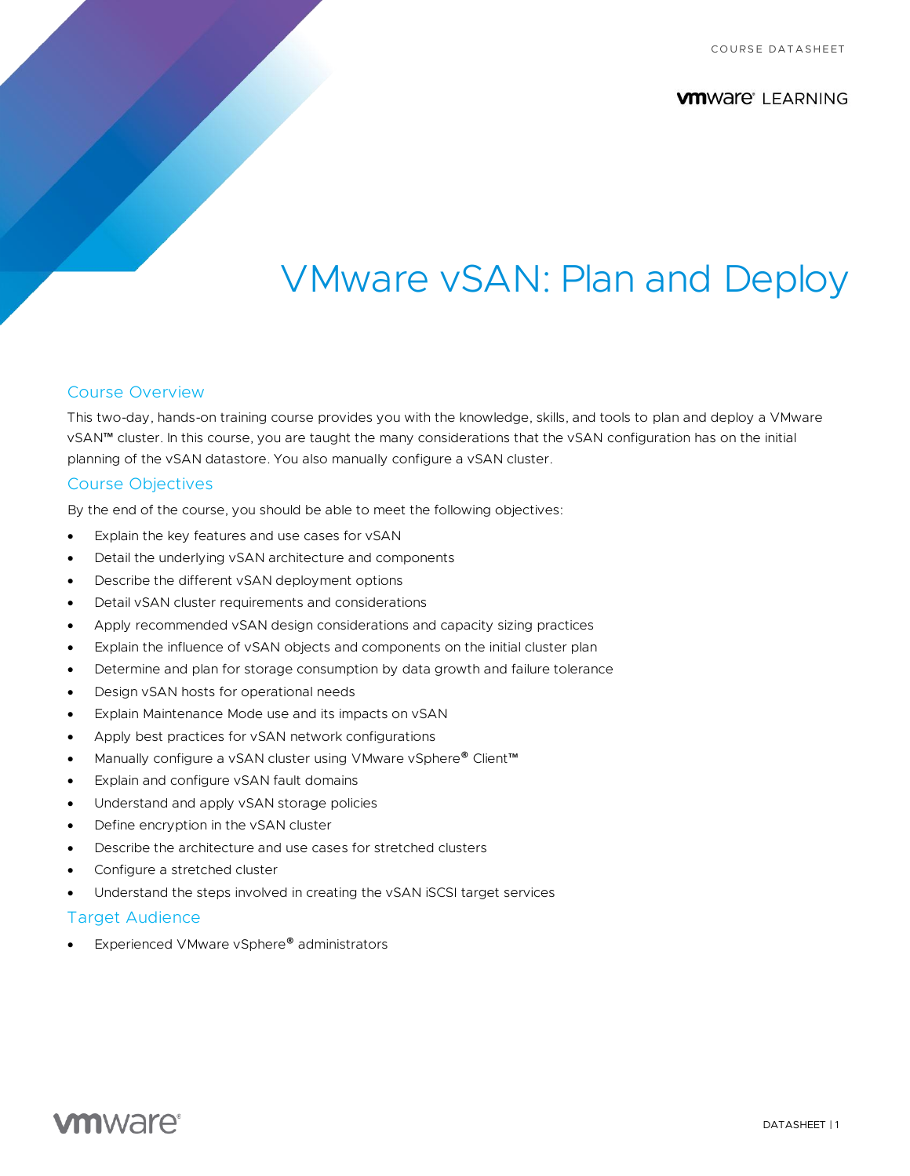## **VMWAre** LEARNING

# VMware vSAN: Plan and Deploy

#### Course Overview

This two-day, hands-on training course provides you with the knowledge, skills, and tools to plan and deploy a VMware vSAN™ cluster. In this course, you are taught the many considerations that the vSAN configuration has on the initial planning of the vSAN datastore. You also manually configure a vSAN cluster.

#### Course Objectives

By the end of the course, you should be able to meet the following objectives:

- Explain the key features and use cases for vSAN
- Detail the underlying vSAN architecture and components
- Describe the different vSAN deployment options
- Detail vSAN cluster requirements and considerations
- Apply recommended vSAN design considerations and capacity sizing practices
- Explain the influence of vSAN objects and components on the initial cluster plan
- Determine and plan for storage consumption by data growth and failure tolerance
- Design vSAN hosts for operational needs
- Explain Maintenance Mode use and its impacts on vSAN
- Apply best practices for vSAN network configurations
- Manually configure a vSAN cluster using VMware vSphere® Client™
- Explain and configure vSAN fault domains
- Understand and apply vSAN storage policies
- Define encryption in the vSAN cluster
- Describe the architecture and use cases for stretched clusters
- Configure a stretched cluster
- Understand the steps involved in creating the vSAN iSCSI target services

#### Target Audience

Experienced VMware vSphere® administrators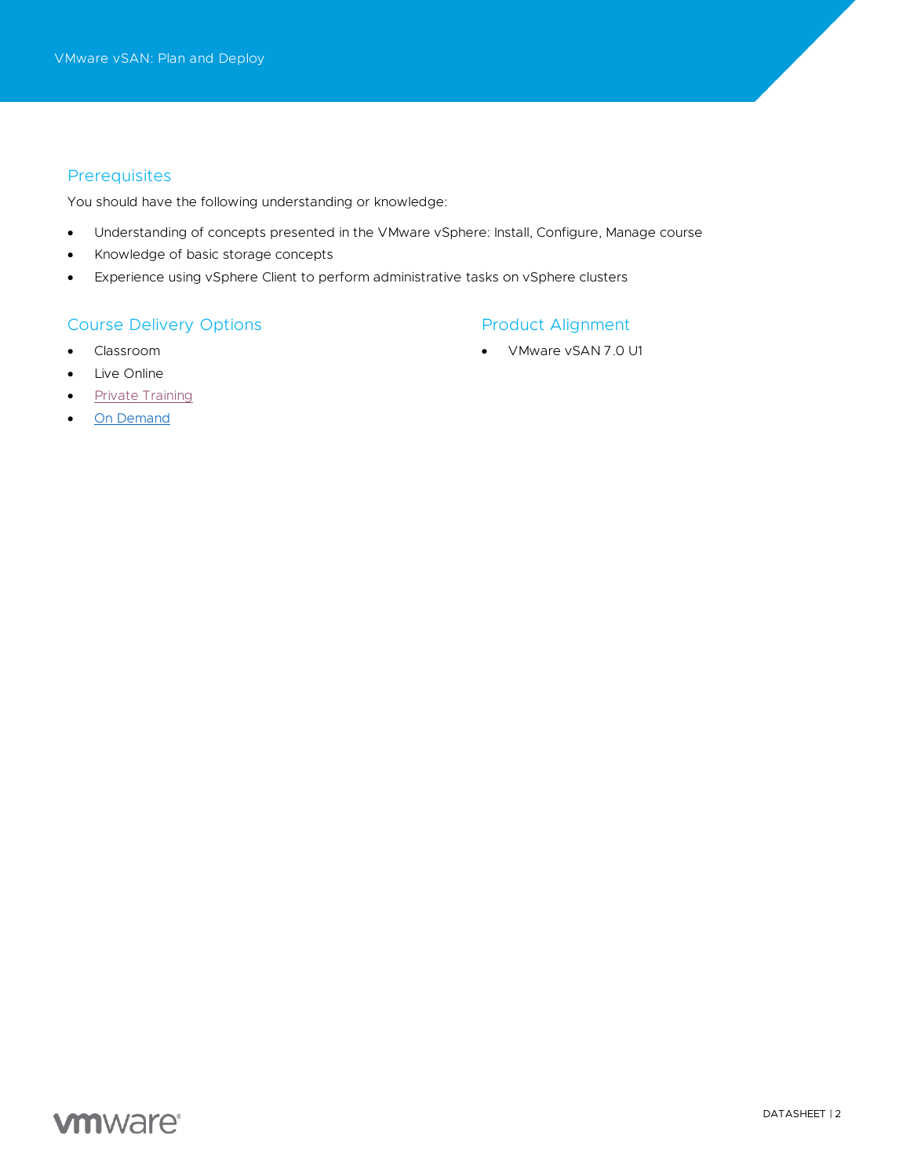### **Prerequisites**

You should have the following understanding or knowledge:

- Understanding of concepts presented in the VMware vSphere: Install, Configure, Manage course
- Knowledge of basic storage concepts
- Experience using vSphere Client to perform administrative tasks on vSphere clusters

#### Course Delivery Options

- Classroom
- Live Online
- [Private Training](https://mylearn.vmware.com/mgrReg/plan.cfm?plan=38045&ui=www_edu)
- [On Demand](https://mylearn.vmware.com/mgrReg/plan.cfm?plan=39210&ui=www_edu)

## Product Alignment

• VMware vSAN 7.0 U1